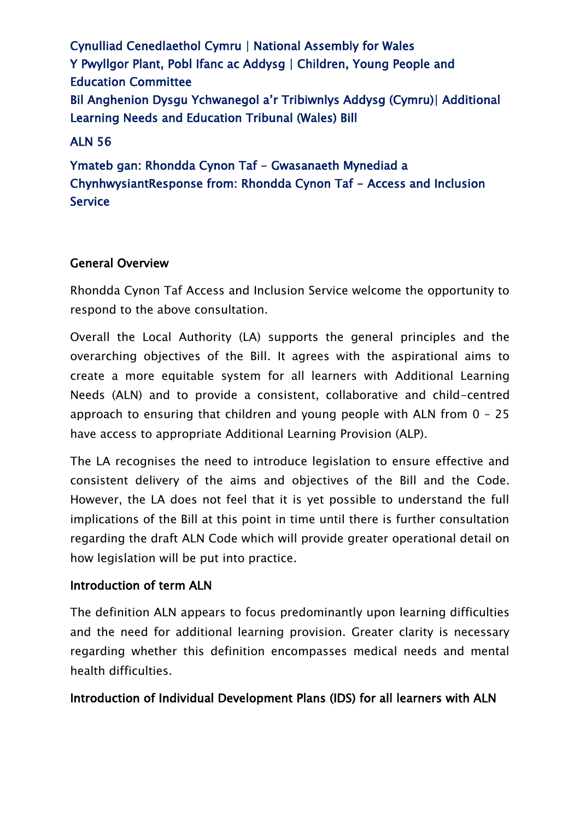Cynulliad Cenedlaethol Cymru | National Assembly for Wales Y Pwyllgor Plant, Pobl Ifanc ac Addysg | Children, Young People and Education Committee Bil Anghenion Dysgu Ychwanegol a'r Tribiwnlys Addysg (Cymru)| Additional Learning Needs and Education Tribunal (Wales) Bill

### ALN 56

Ymateb gan: Rhondda Cynon Taf - Gwasanaeth Mynediad a ChynhwysiantResponse from: Rhondda Cynon Taf - Access and Inclusion Service

### General Overview

Rhondda Cynon Taf Access and Inclusion Service welcome the opportunity to respond to the above consultation.

Overall the Local Authority (LA) supports the general principles and the overarching objectives of the Bill. It agrees with the aspirational aims to create a more equitable system for all learners with Additional Learning Needs (ALN) and to provide a consistent, collaborative and child-centred approach to ensuring that children and young people with ALN from 0 – 25 have access to appropriate Additional Learning Provision (ALP).

The LA recognises the need to introduce legislation to ensure effective and consistent delivery of the aims and objectives of the Bill and the Code. However, the LA does not feel that it is yet possible to understand the full implications of the Bill at this point in time until there is further consultation regarding the draft ALN Code which will provide greater operational detail on how legislation will be put into practice.

# Introduction of term ALN

The definition ALN appears to focus predominantly upon learning difficulties and the need for additional learning provision. Greater clarity is necessary regarding whether this definition encompasses medical needs and mental health difficulties.

#### Introduction of Individual Development Plans (IDS) for all learners with ALN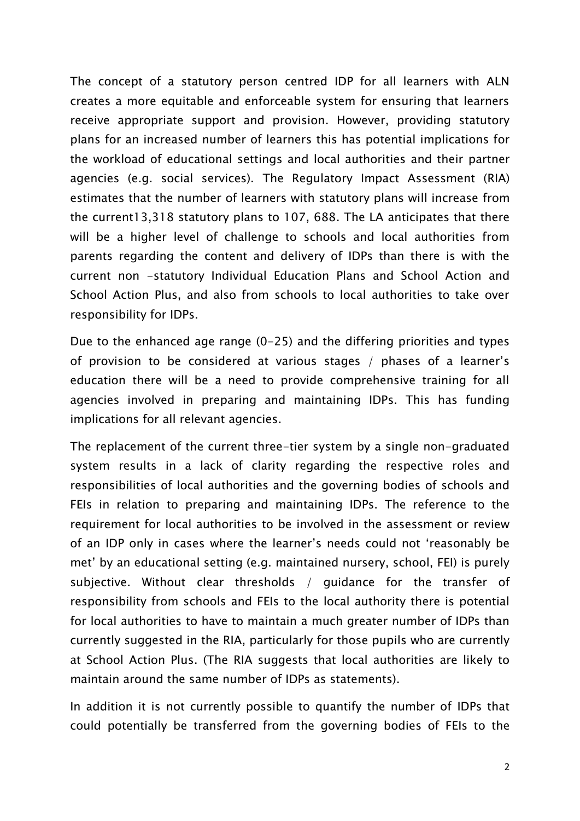The concept of a statutory person centred IDP for all learners with ALN creates a more equitable and enforceable system for ensuring that learners receive appropriate support and provision. However, providing statutory plans for an increased number of learners this has potential implications for the workload of educational settings and local authorities and their partner agencies (e.g. social services). The Regulatory Impact Assessment (RIA) estimates that the number of learners with statutory plans will increase from the current13,318 statutory plans to 107, 688. The LA anticipates that there will be a higher level of challenge to schools and local authorities from parents regarding the content and delivery of IDPs than there is with the current non -statutory Individual Education Plans and School Action and School Action Plus, and also from schools to local authorities to take over responsibility for IDPs.

Due to the enhanced age range (0-25) and the differing priorities and types of provision to be considered at various stages / phases of a learner's education there will be a need to provide comprehensive training for all agencies involved in preparing and maintaining IDPs. This has funding implications for all relevant agencies.

The replacement of the current three-tier system by a single non-graduated system results in a lack of clarity regarding the respective roles and responsibilities of local authorities and the governing bodies of schools and FEIs in relation to preparing and maintaining IDPs. The reference to the requirement for local authorities to be involved in the assessment or review of an IDP only in cases where the learner's needs could not 'reasonably be met' by an educational setting (e.g. maintained nursery, school, FEI) is purely subjective. Without clear thresholds / guidance for the transfer of responsibility from schools and FEIs to the local authority there is potential for local authorities to have to maintain a much greater number of IDPs than currently suggested in the RIA, particularly for those pupils who are currently at School Action Plus. (The RIA suggests that local authorities are likely to maintain around the same number of IDPs as statements).

In addition it is not currently possible to quantify the number of IDPs that could potentially be transferred from the governing bodies of FEIs to the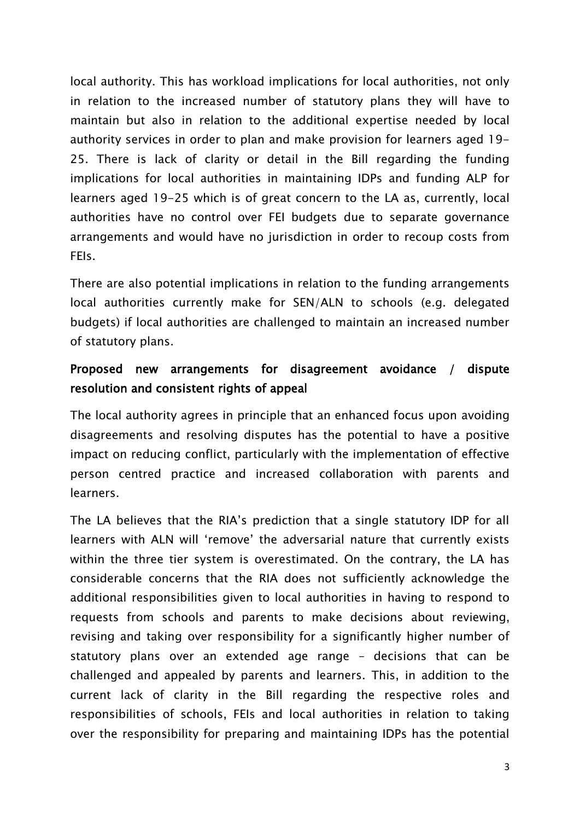local authority. This has workload implications for local authorities, not only in relation to the increased number of statutory plans they will have to maintain but also in relation to the additional expertise needed by local authority services in order to plan and make provision for learners aged 19- 25. There is lack of clarity or detail in the Bill regarding the funding implications for local authorities in maintaining IDPs and funding ALP for learners aged 19-25 which is of great concern to the LA as, currently, local authorities have no control over FEI budgets due to separate governance arrangements and would have no jurisdiction in order to recoup costs from FEIs.

There are also potential implications in relation to the funding arrangements local authorities currently make for SEN/ALN to schools (e.g. delegated budgets) if local authorities are challenged to maintain an increased number of statutory plans.

# Proposed new arrangements for disagreement avoidance / dispute resolution and consistent rights of appeal

The local authority agrees in principle that an enhanced focus upon avoiding disagreements and resolving disputes has the potential to have a positive impact on reducing conflict, particularly with the implementation of effective person centred practice and increased collaboration with parents and learners.

The LA believes that the RIA's prediction that a single statutory IDP for all learners with ALN will 'remove' the adversarial nature that currently exists within the three tier system is overestimated. On the contrary, the LA has considerable concerns that the RIA does not sufficiently acknowledge the additional responsibilities given to local authorities in having to respond to requests from schools and parents to make decisions about reviewing, revising and taking over responsibility for a significantly higher number of statutory plans over an extended age range – decisions that can be challenged and appealed by parents and learners. This, in addition to the current lack of clarity in the Bill regarding the respective roles and responsibilities of schools, FEIs and local authorities in relation to taking over the responsibility for preparing and maintaining IDPs has the potential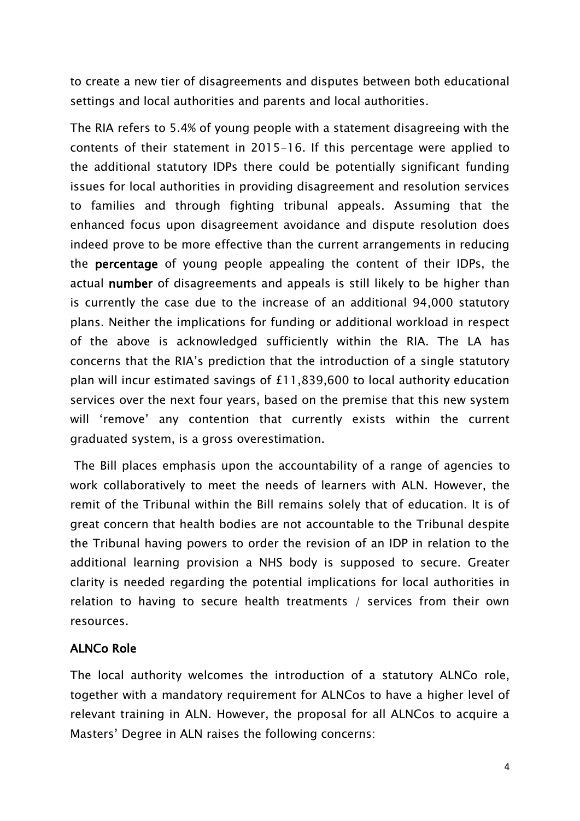to create a new tier of disagreements and disputes between both educational settings and local authorities and parents and local authorities.

The RIA refers to 5.4% of young people with a statement disagreeing with the contents of their statement in 2015-16. If this percentage were applied to the additional statutory IDPs there could be potentially significant funding issues for local authorities in providing disagreement and resolution services to families and through fighting tribunal appeals. Assuming that the enhanced focus upon disagreement avoidance and dispute resolution does indeed prove to be more effective than the current arrangements in reducing the percentage of young people appealing the content of their IDPs, the actual number of disagreements and appeals is still likely to be higher than is currently the case due to the increase of an additional 94,000 statutory plans. Neither the implications for funding or additional workload in respect of the above is acknowledged sufficiently within the RIA. The LA has concerns that the RIA's prediction that the introduction of a single statutory plan will incur estimated savings of £11,839,600 to local authority education services over the next four years, based on the premise that this new system will 'remove' any contention that currently exists within the current graduated system, is a gross overestimation.

The Bill places emphasis upon the accountability of a range of agencies to work collaboratively to meet the needs of learners with ALN. However, the remit of the Tribunal within the Bill remains solely that of education. It is of great concern that health bodies are not accountable to the Tribunal despite the Tribunal having powers to order the revision of an IDP in relation to the additional learning provision a NHS body is supposed to secure. Greater clarity is needed regarding the potential implications for local authorities in relation to having to secure health treatments / services from their own resources.

# ALNCo Role

The local authority welcomes the introduction of a statutory ALNCo role, together with a mandatory requirement for ALNCos to have a higher level of relevant training in ALN. However, the proposal for all ALNCos to acquire a Masters' Degree in ALN raises the following concerns: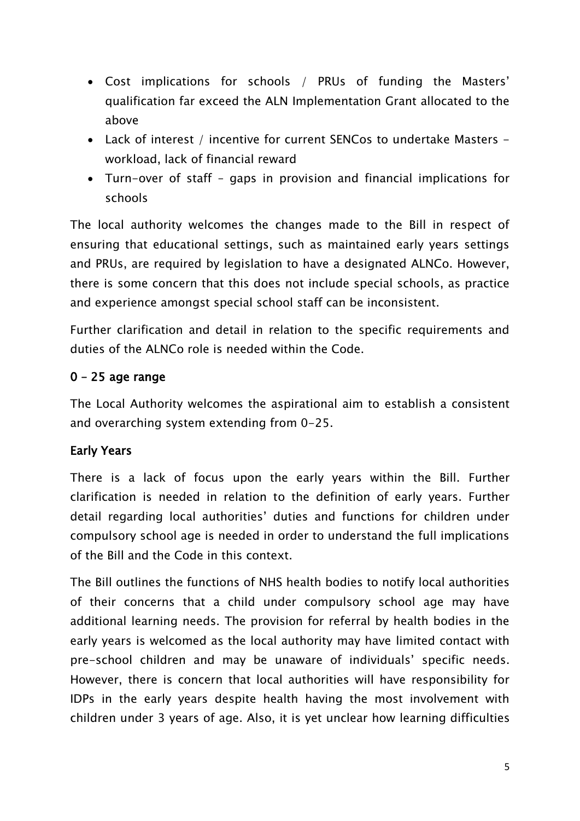- Cost implications for schools / PRUs of funding the Masters' qualification far exceed the ALN Implementation Grant allocated to the above
- Lack of interest / incentive for current SENCos to undertake Masters workload, lack of financial reward
- Turn-over of staff gaps in provision and financial implications for schools

The local authority welcomes the changes made to the Bill in respect of ensuring that educational settings, such as maintained early years settings and PRUs, are required by legislation to have a designated ALNCo. However, there is some concern that this does not include special schools, as practice and experience amongst special school staff can be inconsistent.

Further clarification and detail in relation to the specific requirements and duties of the ALNCo role is needed within the Code.

# 0 – 25 age range

The Local Authority welcomes the aspirational aim to establish a consistent and overarching system extending from 0-25.

# Early Years

There is a lack of focus upon the early years within the Bill. Further clarification is needed in relation to the definition of early years. Further detail regarding local authorities' duties and functions for children under compulsory school age is needed in order to understand the full implications of the Bill and the Code in this context.

The Bill outlines the functions of NHS health bodies to notify local authorities of their concerns that a child under compulsory school age may have additional learning needs. The provision for referral by health bodies in the early years is welcomed as the local authority may have limited contact with pre-school children and may be unaware of individuals' specific needs. However, there is concern that local authorities will have responsibility for IDPs in the early years despite health having the most involvement with children under 3 years of age. Also, it is yet unclear how learning difficulties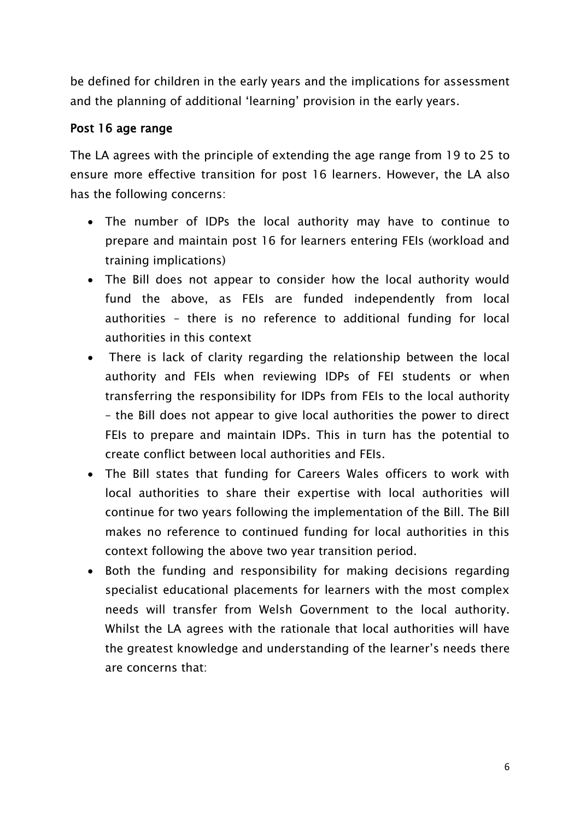be defined for children in the early years and the implications for assessment and the planning of additional 'learning' provision in the early years.

### Post 16 age range

The LA agrees with the principle of extending the age range from 19 to 25 to ensure more effective transition for post 16 learners. However, the LA also has the following concerns:

- The number of IDPs the local authority may have to continue to prepare and maintain post 16 for learners entering FEIs (workload and training implications)
- The Bill does not appear to consider how the local authority would fund the above, as FEIs are funded independently from local authorities – there is no reference to additional funding for local authorities in this context
- There is lack of clarity regarding the relationship between the local authority and FEIs when reviewing IDPs of FEI students or when transferring the responsibility for IDPs from FEIs to the local authority – the Bill does not appear to give local authorities the power to direct FEIs to prepare and maintain IDPs. This in turn has the potential to create conflict between local authorities and FEIs.
- The Bill states that funding for Careers Wales officers to work with local authorities to share their expertise with local authorities will continue for two years following the implementation of the Bill. The Bill makes no reference to continued funding for local authorities in this context following the above two year transition period.
- Both the funding and responsibility for making decisions regarding specialist educational placements for learners with the most complex needs will transfer from Welsh Government to the local authority. Whilst the LA agrees with the rationale that local authorities will have the greatest knowledge and understanding of the learner's needs there are concerns that: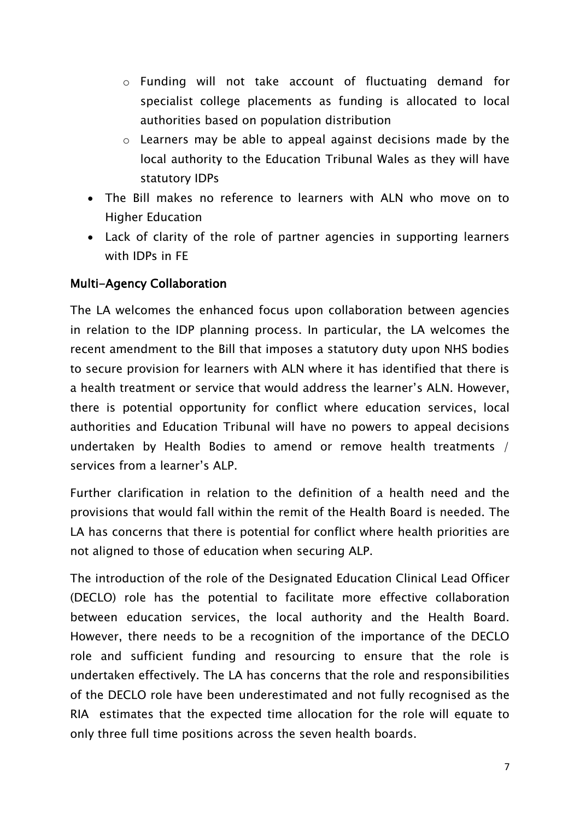- o Funding will not take account of fluctuating demand for specialist college placements as funding is allocated to local authorities based on population distribution
- o Learners may be able to appeal against decisions made by the local authority to the Education Tribunal Wales as they will have statutory IDPs
- The Bill makes no reference to learners with ALN who move on to Higher Education
- Lack of clarity of the role of partner agencies in supporting learners with IDPs in FE

### Multi-Agency Collaboration

The LA welcomes the enhanced focus upon collaboration between agencies in relation to the IDP planning process. In particular, the LA welcomes the recent amendment to the Bill that imposes a statutory duty upon NHS bodies to secure provision for learners with ALN where it has identified that there is a health treatment or service that would address the learner's ALN. However, there is potential opportunity for conflict where education services, local authorities and Education Tribunal will have no powers to appeal decisions undertaken by Health Bodies to amend or remove health treatments / services from a learner's ALP.

Further clarification in relation to the definition of a health need and the provisions that would fall within the remit of the Health Board is needed. The LA has concerns that there is potential for conflict where health priorities are not aligned to those of education when securing ALP.

The introduction of the role of the Designated Education Clinical Lead Officer (DECLO) role has the potential to facilitate more effective collaboration between education services, the local authority and the Health Board. However, there needs to be a recognition of the importance of the DECLO role and sufficient funding and resourcing to ensure that the role is undertaken effectively. The LA has concerns that the role and responsibilities of the DECLO role have been underestimated and not fully recognised as the RIA estimates that the expected time allocation for the role will equate to only three full time positions across the seven health boards.